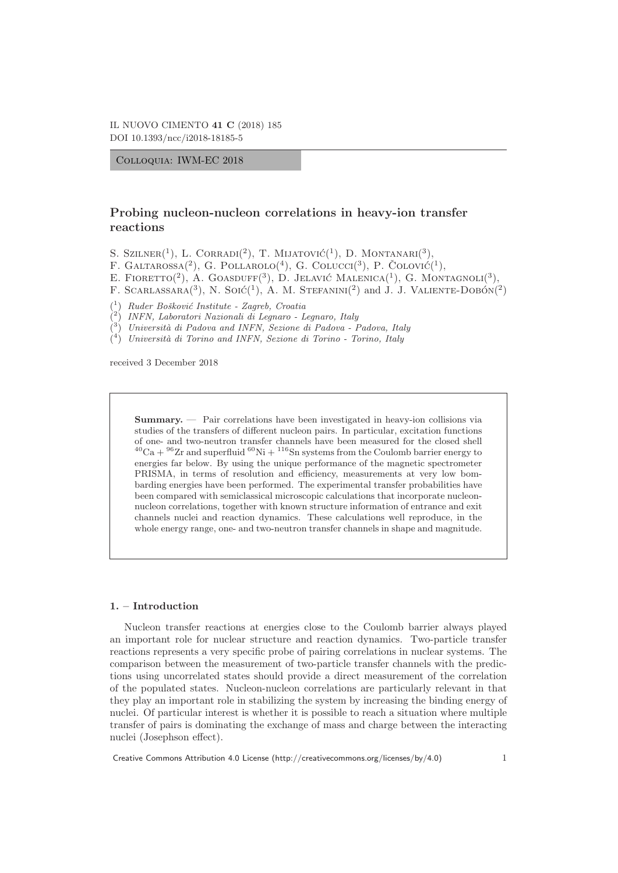Colloquia: IWM-EC 2018

# **Probing nucleon-nucleon correlations in heavy-ion transfer reactions**

S. SZILNER<sup>(1</sup>), L. CORRADI<sup>(2</sup>), T. MIJATOVIĆ<sup>(1</sup>), D. MONTANARI<sup>(3</sup>),

F. GALTAROSSA(<sup>2</sup>), G. POLLAROLO(<sup>4</sup>), G. COLUCCI(<sup>3</sup>), P. COLOVIC(<sup>1</sup>),

E. FIORETTO<sup>(2)</sup>, A. GOASDUFF<sup>(3)</sup>, D. JELAVIĆ MALENICA<sup>(1</sup>), G. MONTAGNOLI<sup>(3</sup>),

F. SCARLASSARA<sup>(3)</sup>, N. Solć<sup>(1</sup>), A. M. STEFANINI<sup>(2</sup>) and J. J. VALIENTE-DOBON<sup>(2</sup>)

<sup>(1</sup>) Ruder Bošković Institute - Zagreb, Croatia

( <sup>2</sup>) INFN, Laboratori Nazionali di Legnaro - Legnaro, Italy

(  $3)$  Università di Padova and INFN, Sezione di Padova - Padova, Italy

(  $^{4})$  Università di Torino and INFN, Sezione di Torino - Torino, Italy

received 3 December 2018

**Summary.** — Pair correlations have been investigated in heavy-ion collisions via studies of the transfers of different nucleon pairs. In particular, excitation functions of one- and two-neutron transfer channels have been measured for the closed shell  ${}^{40}\mathrm{Ca}+{}^{96}\mathrm{Zr}$  and superfluid  ${}^{60}\mathrm{Ni}+{}^{116}\mathrm{Sn}$  systems from the Coulomb barrier energy to energies far below. By using the unique performance of the magnetic spectrometer PRISMA, in terms of resolution and efficiency, measurements at very low bombarding energies have been performed. The experimental transfer probabilities have been compared with semiclassical microscopic calculations that incorporate nucleonnucleon correlations, together with known structure information of entrance and exit channels nuclei and reaction dynamics. These calculations well reproduce, in the whole energy range, one- and two-neutron transfer channels in shape and magnitude.

# **1. – Introduction**

Nucleon transfer reactions at energies close to the Coulomb barrier always played an important role for nuclear structure and reaction dynamics. Two-particle transfer reactions represents a very specific probe of pairing correlations in nuclear systems. The comparison between the measurement of two-particle transfer channels with the predictions using uncorrelated states should provide a direct measurement of the correlation of the populated states. Nucleon-nucleon correlations are particularly relevant in that they play an important role in stabilizing the system by increasing the binding energy of nuclei. Of particular interest is whether it is possible to reach a situation where multiple transfer of pairs is dominating the exchange of mass and charge between the interacting nuclei (Josephson effect).

Creative Commons Attribution 4.0 License (http://creativecommons.org/licenses/by/4.0) 1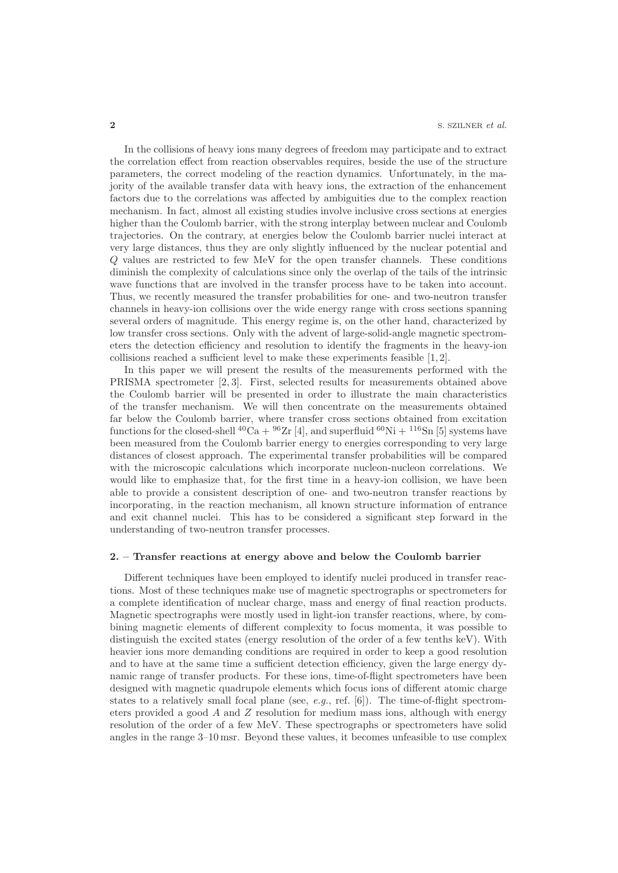In the collisions of heavy ions many degrees of freedom may participate and to extract the correlation effect from reaction observables requires, beside the use of the structure parameters, the correct modeling of the reaction dynamics. Unfortunately, in the majority of the available transfer data with heavy ions, the extraction of the enhancement factors due to the correlations was affected by ambiguities due to the complex reaction mechanism. In fact, almost all existing studies involve inclusive cross sections at energies higher than the Coulomb barrier, with the strong interplay between nuclear and Coulomb trajectories. On the contrary, at energies below the Coulomb barrier nuclei interact at very large distances, thus they are only slightly influenced by the nuclear potential and Q values are restricted to few MeV for the open transfer channels. These conditions diminish the complexity of calculations since only the overlap of the tails of the intrinsic wave functions that are involved in the transfer process have to be taken into account. Thus, we recently measured the transfer probabilities for one- and two-neutron transfer channels in heavy-ion collisions over the wide energy range with cross sections spanning several orders of magnitude. This energy regime is, on the other hand, characterized by low transfer cross sections. Only with the advent of large-solid-angle magnetic spectrometers the detection efficiency and resolution to identify the fragments in the heavy-ion collisions reached a sufficient level to make these experiments feasible [1, 2].

In this paper we will present the results of the measurements performed with the PRISMA spectrometer [2, 3]. First, selected results for measurements obtained above the Coulomb barrier will be presented in order to illustrate the main characteristics of the transfer mechanism. We will then concentrate on the measurements obtained far below the Coulomb barrier, where transfer cross sections obtained from excitation functions for the closed-shell <sup>40</sup>Ca + <sup>96</sup>Zr [4], and superfluid <sup>60</sup>Ni + <sup>116</sup>Sn [5] systems have been measured from the Coulomb barrier energy to energies corresponding to very large distances of closest approach. The experimental transfer probabilities will be compared with the microscopic calculations which incorporate nucleon-nucleon correlations. We would like to emphasize that, for the first time in a heavy-ion collision, we have been able to provide a consistent description of one- and two-neutron transfer reactions by incorporating, in the reaction mechanism, all known structure information of entrance and exit channel nuclei. This has to be considered a significant step forward in the understanding of two-neutron transfer processes.

#### **2. – Transfer reactions at energy above and below the Coulomb barrier**

Different techniques have been employed to identify nuclei produced in transfer reactions. Most of these techniques make use of magnetic spectrographs or spectrometers for a complete identification of nuclear charge, mass and energy of final reaction products. Magnetic spectrographs were mostly used in light-ion transfer reactions, where, by combining magnetic elements of different complexity to focus momenta, it was possible to distinguish the excited states (energy resolution of the order of a few tenths keV). With heavier ions more demanding conditions are required in order to keep a good resolution and to have at the same time a sufficient detection efficiency, given the large energy dynamic range of transfer products. For these ions, time-of-flight spectrometers have been designed with magnetic quadrupole elements which focus ions of different atomic charge states to a relatively small focal plane (see, *e.g.*, ref.  $[6]$ ). The time-of-flight spectrometers provided a good A and Z resolution for medium mass ions, although with energy resolution of the order of a few MeV. These spectrographs or spectrometers have solid angles in the range 3–10 msr. Beyond these values, it becomes unfeasible to use complex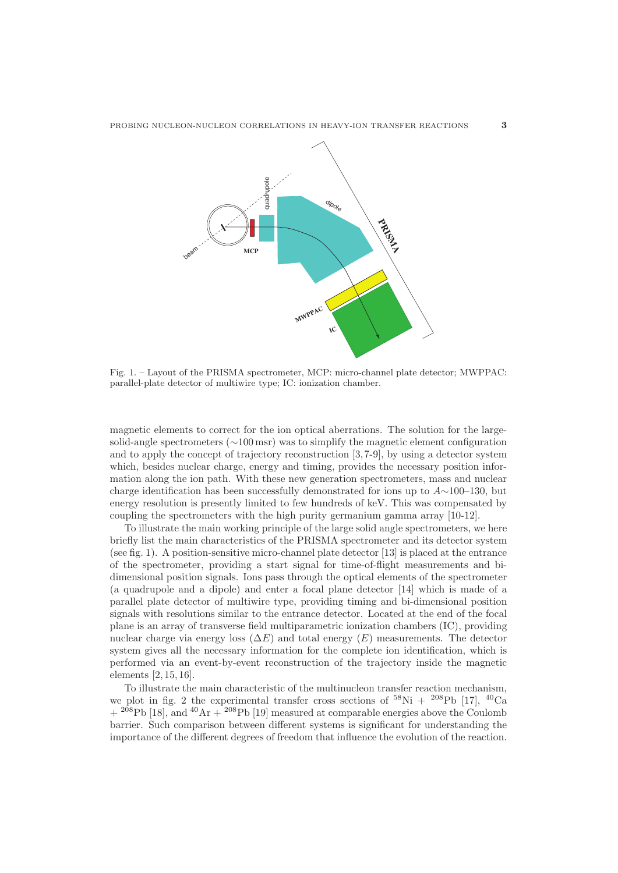

Fig. 1. – Layout of the PRISMA spectrometer, MCP: micro-channel plate detector; MWPPAC: parallel-plate detector of multiwire type; IC: ionization chamber.

magnetic elements to correct for the ion optical aberrations. The solution for the largesolid-angle spectrometers (∼100 msr) was to simplify the magnetic element configuration and to apply the concept of trajectory reconstruction [3, 7-9], by using a detector system which, besides nuclear charge, energy and timing, provides the necessary position information along the ion path. With these new generation spectrometers, mass and nuclear charge identification has been successfully demonstrated for ions up to  $A \sim 100-130$ , but energy resolution is presently limited to few hundreds of keV. This was compensated by coupling the spectrometers with the high purity germanium gamma array [10-12].

To illustrate the main working principle of the large solid angle spectrometers, we here briefly list the main characteristics of the PRISMA spectrometer and its detector system (see fig. 1). A position-sensitive micro-channel plate detector [13] is placed at the entrance of the spectrometer, providing a start signal for time-of-flight measurements and bidimensional position signals. Ions pass through the optical elements of the spectrometer (a quadrupole and a dipole) and enter a focal plane detector [14] which is made of a parallel plate detector of multiwire type, providing timing and bi-dimensional position signals with resolutions similar to the entrance detector. Located at the end of the focal plane is an array of transverse field multiparametric ionization chambers (IC), providing nuclear charge via energy loss  $(\Delta E)$  and total energy  $(E)$  measurements. The detector system gives all the necessary information for the complete ion identification, which is performed via an event-by-event reconstruction of the trajectory inside the magnetic elements [2, 15, 16].

To illustrate the main characteristic of the multinucleon transfer reaction mechanism, we plot in fig. 2 the experimental transfer cross sections of  $^{58}\text{Ni} + {}^{208}\text{Pb}$  [17],  $^{40}\text{Ca}$  $+$  <sup>208</sup>Pb [18], and <sup>40</sup>Ar  $+$  <sup>208</sup>Pb [19] measured at comparable energies above the Coulomb barrier. Such comparison between different systems is significant for understanding the importance of the different degrees of freedom that influence the evolution of the reaction.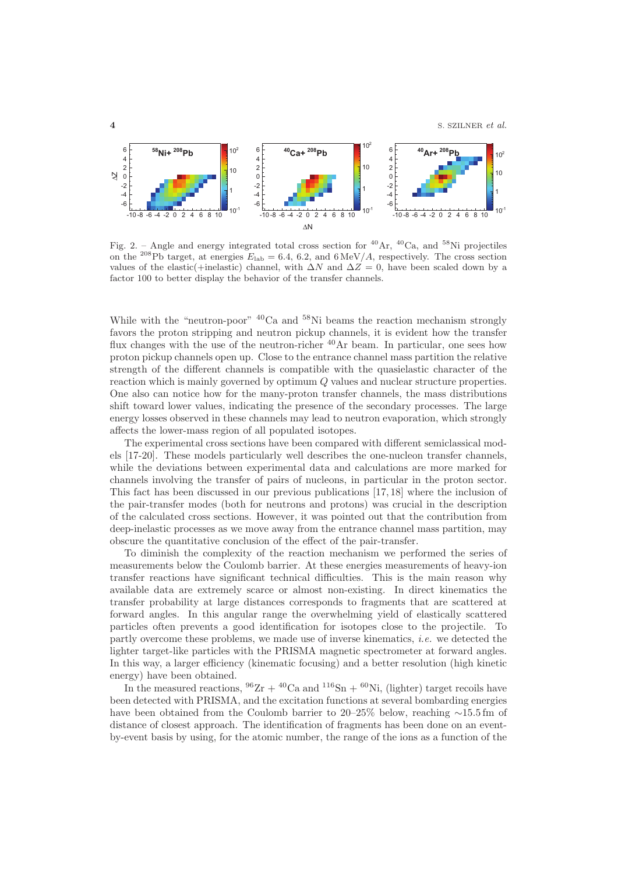

Fig. 2. – Angle and energy integrated total cross section for <sup>40</sup>Ar, <sup>40</sup>Ca, and <sup>58</sup>Ni projectiles on the <sup>208</sup>Pb target, at energies  $E_{\text{lab}} = 6.4, 6.2,$  and  $6 \text{ MeV}/A$ , respectively. The cross section values of the elastic(+inelastic) channel, with  $\Delta N$  and  $\Delta Z = 0$ , have been scaled down by a factor 100 to better display the behavior of the transfer channels.

While with the "neutron-poor" <sup>40</sup>Ca and <sup>58</sup>Ni beams the reaction mechanism strongly favors the proton stripping and neutron pickup channels, it is evident how the transfer flux changes with the use of the neutron-richer <sup>40</sup>Ar beam. In particular, one sees how proton pickup channels open up. Close to the entrance channel mass partition the relative strength of the different channels is compatible with the quasielastic character of the reaction which is mainly governed by optimum Q values and nuclear structure properties. One also can notice how for the many-proton transfer channels, the mass distributions shift toward lower values, indicating the presence of the secondary processes. The large energy losses observed in these channels may lead to neutron evaporation, which strongly affects the lower-mass region of all populated isotopes.

The experimental cross sections have been compared with different semiclassical models [17-20]. These models particularly well describes the one-nucleon transfer channels, while the deviations between experimental data and calculations are more marked for channels involving the transfer of pairs of nucleons, in particular in the proton sector. This fact has been discussed in our previous publications [17, 18] where the inclusion of the pair-transfer modes (both for neutrons and protons) was crucial in the description of the calculated cross sections. However, it was pointed out that the contribution from deep-inelastic processes as we move away from the entrance channel mass partition, may obscure the quantitative conclusion of the effect of the pair-transfer.

To diminish the complexity of the reaction mechanism we performed the series of measurements below the Coulomb barrier. At these energies measurements of heavy-ion transfer reactions have significant technical difficulties. This is the main reason why available data are extremely scarce or almost non-existing. In direct kinematics the transfer probability at large distances corresponds to fragments that are scattered at forward angles. In this angular range the overwhelming yield of elastically scattered particles often prevents a good identification for isotopes close to the projectile. To partly overcome these problems, we made use of inverse kinematics, i.e. we detected the lighter target-like particles with the PRISMA magnetic spectrometer at forward angles. In this way, a larger efficiency (kinematic focusing) and a better resolution (high kinetic energy) have been obtained.

In the measured reactions,  $96Zr + 40Ca$  and  $116Sn + 60Ni$ , (lighter) target recoils have been detected with PRISMA, and the excitation functions at several bombarding energies have been obtained from the Coulomb barrier to 20–25% below, reaching ∼15.5 fm of distance of closest approach. The identification of fragments has been done on an eventby-event basis by using, for the atomic number, the range of the ions as a function of the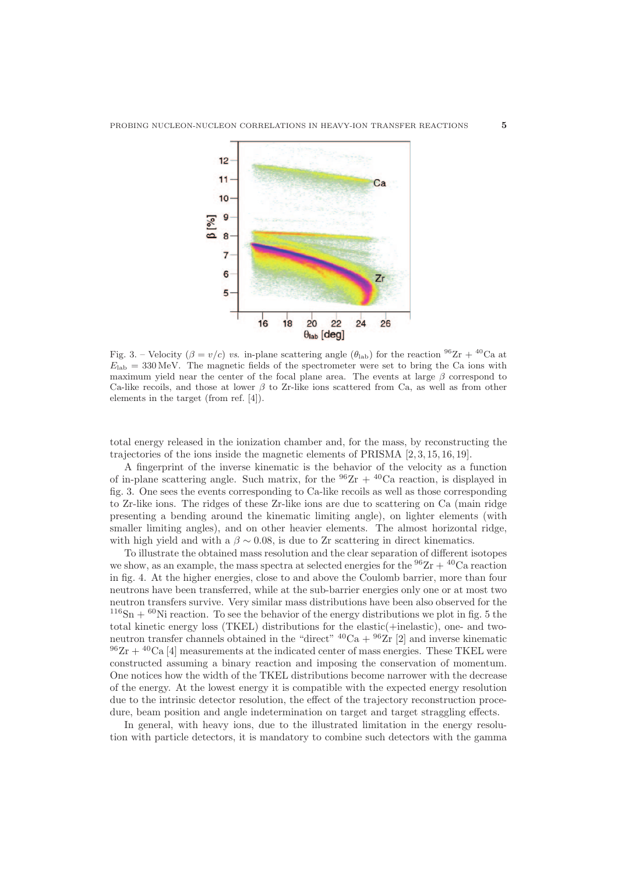

Fig. 3. – Velocity ( $\beta = v/c$ ) vs. in-plane scattering angle ( $\theta_{lab}$ ) for the reaction  $^{96}Zr + ^{40}Ca$  at  $E_{\rm lab} = 330$  MeV. The magnetic fields of the spectrometer were set to bring the Ca ions with maximum yield near the center of the focal plane area. The events at large  $\beta$  correspond to Ca-like recoils, and those at lower  $\beta$  to Zr-like ions scattered from Ca, as well as from other elements in the target (from ref. [4]).

total energy released in the ionization chamber and, for the mass, by reconstructing the trajectories of the ions inside the magnetic elements of PRISMA [2, 3, 15, 16, 19].

A fingerprint of the inverse kinematic is the behavior of the velocity as a function of in-plane scattering angle. Such matrix, for the  $96Zr + 40Ca$  reaction, is displayed in fig. 3. One sees the events corresponding to Ca-like recoils as well as those corresponding to Zr-like ions. The ridges of these Zr-like ions are due to scattering on Ca (main ridge presenting a bending around the kinematic limiting angle), on lighter elements (with smaller limiting angles), and on other heavier elements. The almost horizontal ridge, with high yield and with a  $\beta \sim 0.08$ , is due to Zr scattering in direct kinematics.

To illustrate the obtained mass resolution and the clear separation of different isotopes we show, as an example, the mass spectra at selected energies for the  ${}^{96}Zr + {}^{40}Ca$  reaction in fig. 4. At the higher energies, close to and above the Coulomb barrier, more than four neutrons have been transferred, while at the sub-barrier energies only one or at most two neutron transfers survive. Very similar mass distributions have been also observed for the  $116Sn + 60Ni$  reaction. To see the behavior of the energy distributions we plot in fig. 5 the total kinetic energy loss (TKEL) distributions for the elastic(+inelastic), one- and twoneutron transfer channels obtained in the "direct"  ${}^{40}Ca + {}^{96}Zr$  [2] and inverse kinematic  $96Zr + 40Ca$  [4] measurements at the indicated center of mass energies. These TKEL were constructed assuming a binary reaction and imposing the conservation of momentum. One notices how the width of the TKEL distributions become narrower with the decrease of the energy. At the lowest energy it is compatible with the expected energy resolution due to the intrinsic detector resolution, the effect of the trajectory reconstruction procedure, beam position and angle indetermination on target and target straggling effects.

In general, with heavy ions, due to the illustrated limitation in the energy resolution with particle detectors, it is mandatory to combine such detectors with the gamma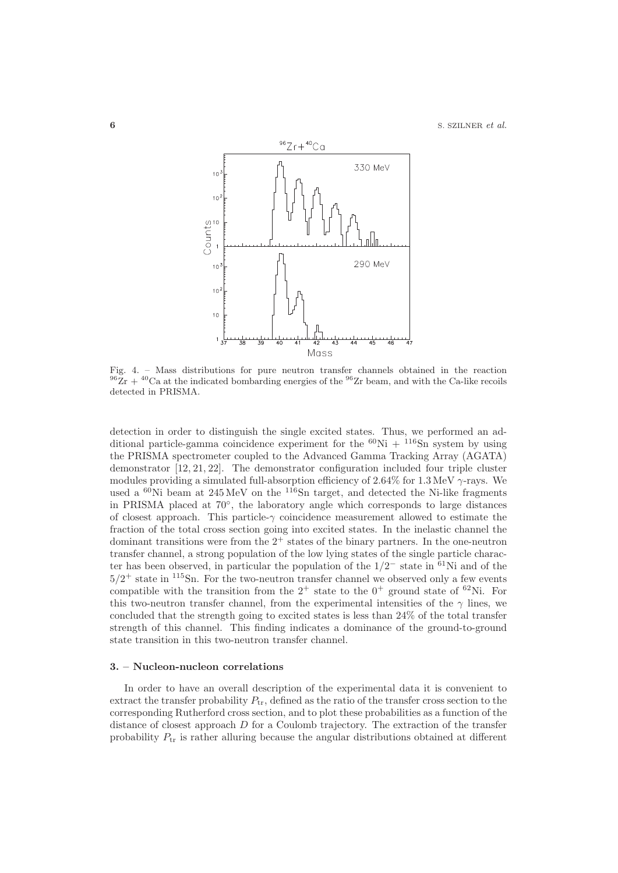

Fig. 4. – Mass distributions for pure neutron transfer channels obtained in the reaction  $^{96}Zr + ^{40}Ca$  at the indicated bombarding energies of the  $^{96}Zr$  beam, and with the Ca-like recoils detected in PRISMA.

detection in order to distinguish the single excited states. Thus, we performed an additional particle-gamma coincidence experiment for the  ${}^{60}\text{Ni} + {}^{116}\text{Sn}$  system by using the PRISMA spectrometer coupled to the Advanced Gamma Tracking Array (AGATA) demonstrator [12, 21, 22]. The demonstrator configuration included four triple cluster modules providing a simulated full-absorption efficiency of 2.64% for 1.3 MeV  $\gamma$ -rays. We used a <sup>60</sup>Ni beam at 245 MeV on the <sup>116</sup>Sn target, and detected the Ni-like fragments in PRISMA placed at 70◦, the laboratory angle which corresponds to large distances of closest approach. This particle- $\gamma$  coincidence measurement allowed to estimate the fraction of the total cross section going into excited states. In the inelastic channel the dominant transitions were from the  $2^+$  states of the binary partners. In the one-neutron transfer channel, a strong population of the low lying states of the single particle character has been observed, in particular the population of the  $1/2^-$  state in  $\frac{61}{\text{Ni}}$  and of the  $5/2^+$  state in  $115$ Sn. For the two-neutron transfer channel we observed only a few events compatible with the transition from the  $2^+$  state to the  $0^+$  ground state of  $^{62}$ Ni. For this two-neutron transfer channel, from the experimental intensities of the  $\gamma$  lines, we concluded that the strength going to excited states is less than 24% of the total transfer strength of this channel. This finding indicates a dominance of the ground-to-ground state transition in this two-neutron transfer channel.

#### **3. – Nucleon-nucleon correlations**

In order to have an overall description of the experimental data it is convenient to extract the transfer probability  $P_{tr}$ , defined as the ratio of the transfer cross section to the corresponding Rutherford cross section, and to plot these probabilities as a function of the distance of closest approach D for a Coulomb trajectory. The extraction of the transfer probability  $P_{tr}$  is rather alluring because the angular distributions obtained at different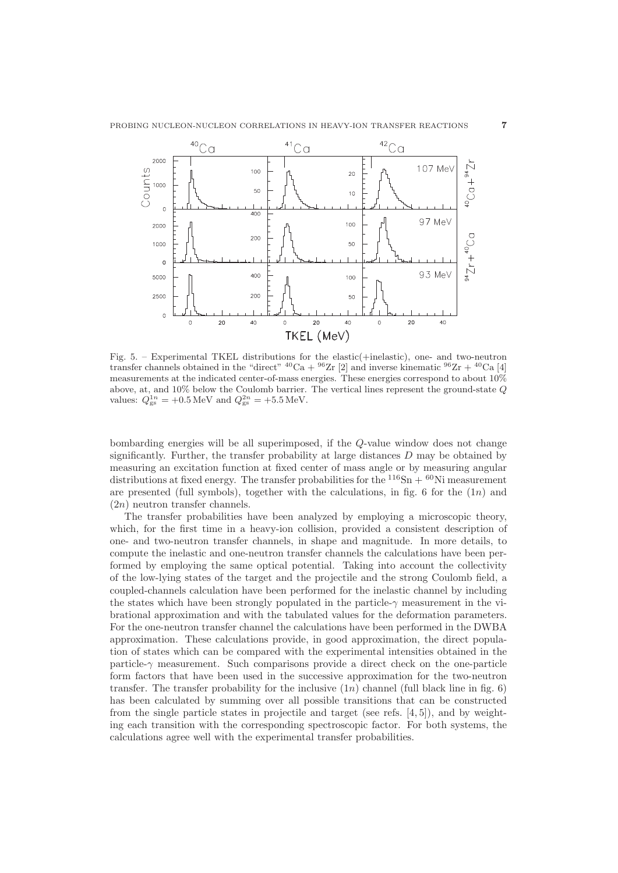

Fig. 5. – Experimental TKEL distributions for the elastic(+inelastic), one- and two-neutron transfer channels obtained in the "direct"  ${}^{40}Ca + {}^{96}Zr$  [2] and inverse kinematic  ${}^{96}Zr + {}^{40}Ca$  [4] measurements at the indicated center-of-mass energies. These energies correspond to about 10% above, at, and 10% below the Coulomb barrier. The vertical lines represent the ground-state Q values:  $Q_{gs}^{1n} = +0.5 \text{ MeV}$  and  $Q_{gs}^{2n} = +5.5 \text{ MeV}$ .

bombarding energies will be all superimposed, if the Q-value window does not change significantly. Further, the transfer probability at large distances  $D$  may be obtained by measuring an excitation function at fixed center of mass angle or by measuring angular distributions at fixed energy. The transfer probabilities for the  $^{116}Sn + ^{60}Ni$  measurement are presented (full symbols), together with the calculations, in fig. 6 for the  $(1n)$  and  $(2n)$  neutron transfer channels.

The transfer probabilities have been analyzed by employing a microscopic theory, which, for the first time in a heavy-ion collision, provided a consistent description of one- and two-neutron transfer channels, in shape and magnitude. In more details, to compute the inelastic and one-neutron transfer channels the calculations have been performed by employing the same optical potential. Taking into account the collectivity of the low-lying states of the target and the projectile and the strong Coulomb field, a coupled-channels calculation have been performed for the inelastic channel by including the states which have been strongly populated in the particle-γ measurement in the vibrational approximation and with the tabulated values for the deformation parameters. For the one-neutron transfer channel the calculations have been performed in the DWBA approximation. These calculations provide, in good approximation, the direct population of states which can be compared with the experimental intensities obtained in the particle- $\gamma$  measurement. Such comparisons provide a direct check on the one-particle form factors that have been used in the successive approximation for the two-neutron transfer. The transfer probability for the inclusive  $(1n)$  channel (full black line in fig. 6) has been calculated by summing over all possible transitions that can be constructed from the single particle states in projectile and target (see refs. [4, 5]), and by weighting each transition with the corresponding spectroscopic factor. For both systems, the calculations agree well with the experimental transfer probabilities.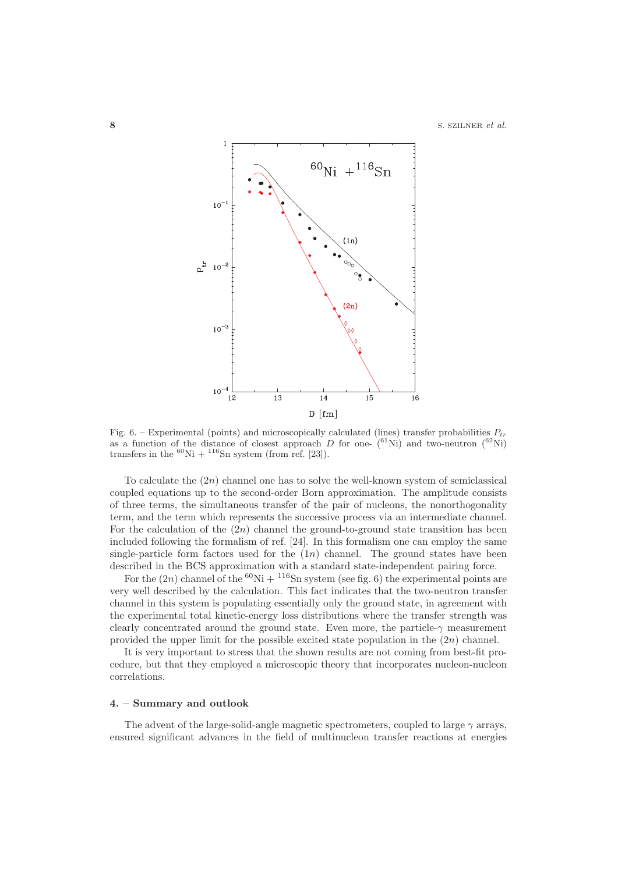

Fig. 6. – Experimental (points) and microscopically calculated (lines) transfer probabilities  $P_{tr}$ as a function of the distance of closest approach  $D$  for one-  $(61Ni)$  and two-neutron  $(62Ni)$ transfers in the  ${}^{60}$ Ni +  ${}^{116}$ Sn system (from ref. [23]).

To calculate the  $(2n)$  channel one has to solve the well-known system of semiclassical coupled equations up to the second-order Born approximation. The amplitude consists of three terms, the simultaneous transfer of the pair of nucleons, the nonorthogonality term, and the term which represents the successive process via an intermediate channel. For the calculation of the  $(2n)$  channel the ground-to-ground state transition has been included following the formalism of ref. [24]. In this formalism one can employ the same single-particle form factors used for the  $(1n)$  channel. The ground states have been described in the BCS approximation with a standard state-independent pairing force.

For the  $(2n)$  channel of the <sup>60</sup>Ni + <sup>116</sup>Sn system (see fig. 6) the experimental points are very well described by the calculation. This fact indicates that the two-neutron transfer channel in this system is populating essentially only the ground state, in agreement with the experimental total kinetic-energy loss distributions where the transfer strength was clearly concentrated around the ground state. Even more, the particle- $\gamma$  measurement provided the upper limit for the possible excited state population in the  $(2n)$  channel.

It is very important to stress that the shown results are not coming from best-fit procedure, but that they employed a microscopic theory that incorporates nucleon-nucleon correlations.

## **4. – Summary and outlook**

The advent of the large-solid-angle magnetic spectrometers, coupled to large  $\gamma$  arrays, ensured significant advances in the field of multinucleon transfer reactions at energies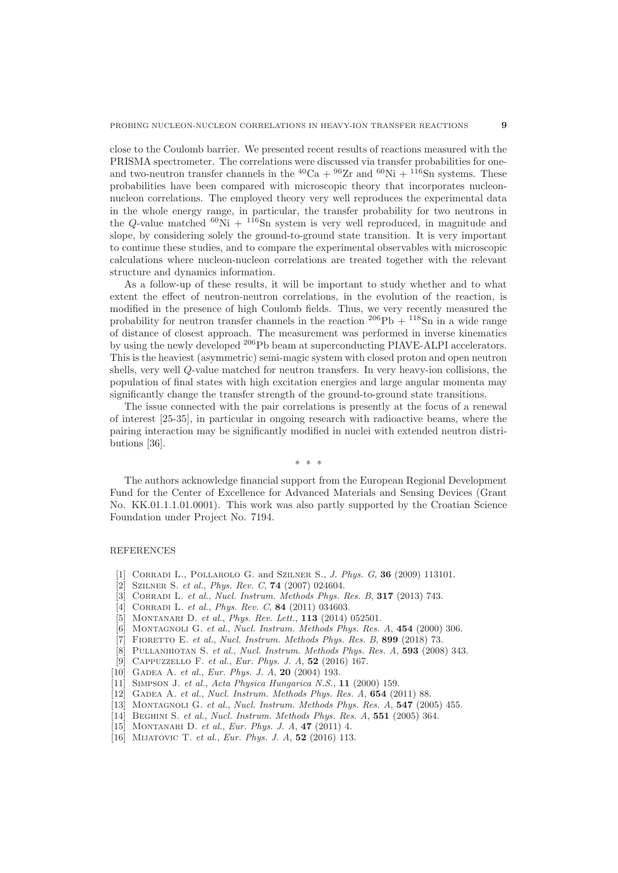close to the Coulomb barrier. We presented recent results of reactions measured with the PRISMA spectrometer. The correlations were discussed via transfer probabilities for oneand two-neutron transfer channels in the <sup>40</sup>Ca + <sup>96</sup>Zr and <sup>60</sup>Ni + <sup>116</sup>Sn systems. These probabilities have been compared with microscopic theory that incorporates nucleonnucleon correlations. The employed theory very well reproduces the experimental data in the whole energy range, in particular, the transfer probability for two neutrons in the Q-value matched  ${}^{60}\text{Ni} + {}^{116}\text{Sn}$  system is very well reproduced, in magnitude and slope, by considering solely the ground-to-ground state transition. It is very important to continue these studies, and to compare the experimental observables with microscopic calculations where nucleon-nucleon correlations are treated together with the relevant structure and dynamics information.

As a follow-up of these results, it will be important to study whether and to what extent the effect of neutron-neutron correlations, in the evolution of the reaction, is modified in the presence of high Coulomb fields. Thus, we very recently measured the probability for neutron transfer channels in the reaction  $^{206}\text{Pb} + ^{118}\text{Sn}$  in a wide range of distance of closest approach. The measurement was performed in inverse kinematics by using the newly developed <sup>206</sup>Pb beam at superconducting PIAVE-ALPI accelerators. This is the heaviest (asymmetric) semi-magic system with closed proton and open neutron shells, very well Q-value matched for neutron transfers. In very heavy-ion collisions, the population of final states with high excitation energies and large angular momenta may significantly change the transfer strength of the ground-to-ground state transitions.

The issue connected with the pair correlations is presently at the focus of a renewal of interest [25-35], in particular in ongoing research with radioactive beams, where the pairing interaction may be significantly modified in nuclei with extended neutron distributions [36].

∗∗∗

The authors acknowledge financial support from the European Regional Development Fund for the Center of Excellence for Advanced Materials and Sensing Devices (Grant No. KK.01.1.1.01.0001). This work was also partly supported by the Croatian Science Foundation under Project No. 7194.

## REFERENCES

- [1] Corradi L., Pollarolo G. and Szilner S., J. Phys. G, **36** (2009) 113101.
- [2] Szilner S. et al., Phys. Rev. C, **74** (2007) 024604.
- [3] Corradi L. et al., Nucl. Instrum. Methods Phys. Res. B, **317** (2013) 743.
- [4] Corradi L. et al., Phys. Rev. C, **84** (2011) 034603.
- [5] Montanari D. et al., Phys. Rev. Lett., **113** (2014) 052501.
- [6] MONTAGNOLI G. et al., Nucl. Instrum. Methods Phys. Res. A, **454** (2000) 306.
- [7] FIORETTO E. et al., Nucl. Instrum. Methods Phys. Res. B, 899 (2018) 73.
- [8] Pullanhiotan S. et al., Nucl. Instrum. Methods Phys. Res. A, **593** (2008) 343.
- [9] Cappuzzello F. et al., Eur. Phys. J. A, **52** (2016) 167.
- [10] GADEA A. et al., Eur. Phys. J. A, 20 (2004) 193.
- [11] Simpson J. et al., Acta Physica Hungarica N.S., **11** (2000) 159.
- [12] Gadea A. et al., Nucl. Instrum. Methods Phys. Res. A, **654** (2011) 88.
- [13] Montagnoli G. et al., Nucl. Instrum. Methods Phys. Res. A, **547** (2005) 455.
- [14] Beghini S. et al., Nucl. Instrum. Methods Phys. Res. A, **551** (2005) 364.
- [15] Montanari D. et al., Eur. Phys. J. A, **47** (2011) 4.
- [16] Mijatovic T. et al., Eur. Phys. J. A, **52** (2016) 113.